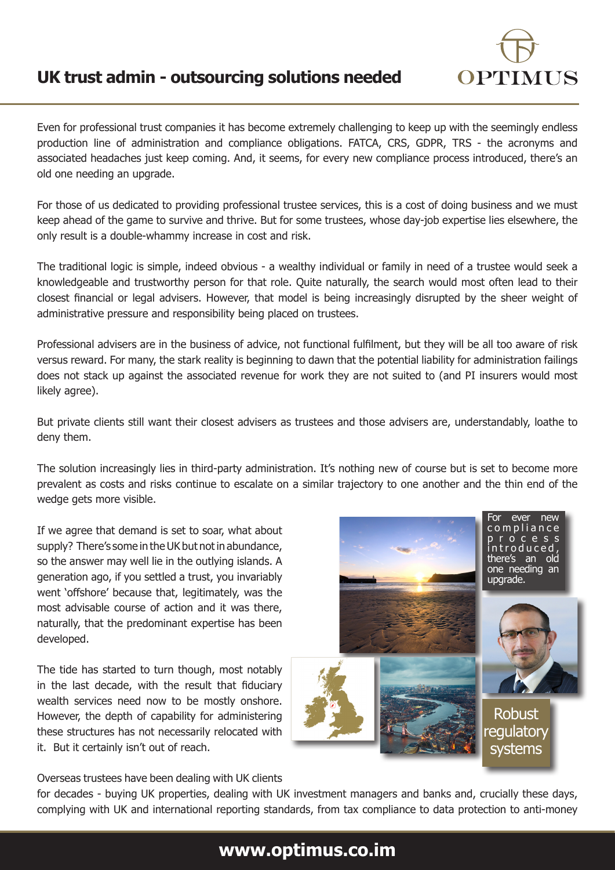

ever new c o m p l i a n c e p r o c e s s i n t r o d u c e d , there's an old one needing an upgrade.

Robust regulatory systems

Even for professional trust companies it has become extremely challenging to keep up with the seemingly endless production line of administration and compliance obligations. FATCA, CRS, GDPR, TRS - the acronyms and associated headaches just keep coming. And, it seems, for every new compliance process introduced, there's an old one needing an upgrade.

For those of us dedicated to providing professional trustee services, this is a cost of doing business and we must keep ahead of the game to survive and thrive. But for some trustees, whose day-job expertise lies elsewhere, the only result is a double-whammy increase in cost and risk.

The traditional logic is simple, indeed obvious - a wealthy individual or family in need of a trustee would seek a knowledgeable and trustworthy person for that role. Quite naturally, the search would most often lead to their closest financial or legal advisers. However, that model is being increasingly disrupted by the sheer weight of administrative pressure and responsibility being placed on trustees.

Professional advisers are in the business of advice, not functional fulfilment, but they will be all too aware of risk versus reward. For many, the stark reality is beginning to dawn that the potential liability for administration failings does not stack up against the associated revenue for work they are not suited to (and PI insurers would most likely agree).

But private clients still want their closest advisers as trustees and those advisers are, understandably, loathe to deny them.

The solution increasingly lies in third-party administration. It's nothing new of course but is set to become more prevalent as costs and risks continue to escalate on a similar trajectory to one another and the thin end of the wedge gets more visible.

If we agree that demand is set to soar, what about supply? There's some in the UK but not in abundance, so the answer may well lie in the outlying islands. A generation ago, if you settled a trust, you invariably went 'offshore' because that, legitimately, was the most advisable course of action and it was there, naturally, that the predominant expertise has been developed.

The tide has started to turn though, most notably in the last decade, with the result that fiduciary wealth services need now to be mostly onshore. However, the depth of capability for administering these structures has not necessarily relocated with it. But it certainly isn't out of reach.

Overseas trustees have been dealing with UK clients

for decades - buying UK properties, dealing with UK investment managers and banks and, crucially these days, complying with UK and international reporting standards, from tax compliance to data protection to anti-money

## **www.optimus.co.im**